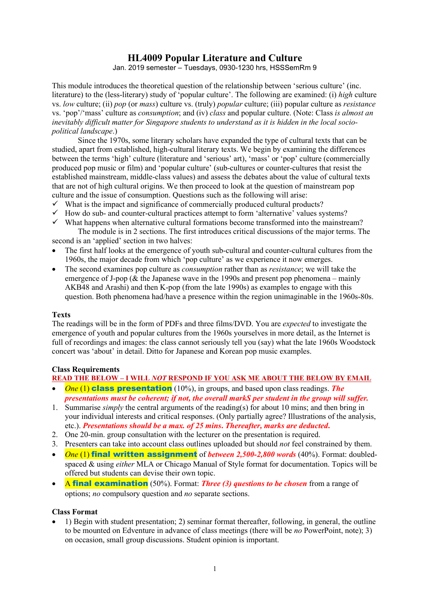# **HL4009 Popular Literature and Culture**

Jan. 2019 semester – Tuesdays, 0930-1230 hrs, HSSSemRm 9

This module introduces the theoretical question of the relationship between 'serious culture' (inc. literature) to the (less-literary) study of 'popular culture'. The following are examined: (i) *high* culture vs. *low* culture; (ii) *pop* (or *mass*) culture vs. (truly) *popular* culture; (iii) popular culture as *resistance* vs. 'pop'/'mass' culture as *consumption*; and (iv) *class* and popular culture. (Note: Class *is almost an inevitably difficult matter for Singapore students to understand as it is hidden in the local sociopolitical landscape*.)

Since the 1970s, some literary scholars have expanded the type of cultural texts that can be studied, apart from established, high-cultural literary texts. We begin by examining the differences between the terms 'high' culture (literature and 'serious' art), 'mass' or 'pop' culture (commercially produced pop music or film) and 'popular culture' (sub-cultures or counter-cultures that resist the established mainstream, middle-class values) and assess the debates about the value of cultural texts that are not of high cultural origins. We then proceed to look at the question of mainstream pop culture and the issue of consumption. Questions such as the following will arise:

- $\checkmark$  What is the impact and significance of commercially produced cultural products?
- $\checkmark$  How do sub- and counter-cultural practices attempt to form 'alternative' values systems?
- $\checkmark$  What happens when alternative cultural formations become transformed into the mainstream? The module is in 2 sections. The first introduces critical discussions of the major terms. The

second is an 'applied' section in two halves:

- The first half looks at the emergence of youth sub-cultural and counter-cultural cultures from the 1960s, the major decade from which 'pop culture' as we experience it now emerges.
- The second examines pop culture as *consumption* rather than as *resistance*; we will take the emergence of J-pop ( $\&$  the Japanese wave in the 1990s and present pop phenomena – mainly AKB48 and Arashi) and then K-pop (from the late 1990s) as examples to engage with this question. Both phenomena had/have a presence within the region unimaginable in the 1960s-80s.

#### **Texts**

The readings will be in the form of PDFs and three films/DVD. You are *expected* to investigate the emergence of youth and popular cultures from the 1960s yourselves in more detail, as the Internet is full of recordings and images: the class cannot seriously tell you (say) what the late 1960s Woodstock concert was 'about' in detail. Ditto for Japanese and Korean pop music examples.

## **Class Requirements**

**READ THE BELOW – I WILL** *NOT* **RESPOND IF YOU ASK ME ABOUT THE BELOW BY EMAIL**

- *One* (1) class presentation (10%), in groups, and based upon class readings. *The presentations must be coherent; if not, the overall markS per student in the group will suffer.*
- 1. Summarise *simply* the central arguments of the reading(s) for about 10 mins; and then bring in your individual interests and critical responses. (Only partially agree? Illustrations of the analysis, etc.). *Presentations should be a max. of 25 mins***.** *Thereafter, marks are deducted***.**
- 2. One 20-min. group consultation with the lecturer on the presentation is required.
- 3. Presenters can take into account class outlines uploaded but should *not* feel constrained by them.
- *One* (1) final written assignment of *between 2,500-2,800 words* (40%). Format: doubledspaced & using *either* MLA or Chicago Manual of Style format for documentation. Topics will be offered but students can devise their own topic.
- A **final examination** (50%). Format: *Three (3) questions to be chosen* from a range of options; *no* compulsory question and *no* separate sections.

#### **Class Format**

• 1) Begin with student presentation; 2) seminar format thereafter, following, in general, the outline to be mounted on Edventure in advance of class meetings (there will be *no* PowerPoint, note); 3) on occasion, small group discussions. Student opinion is important.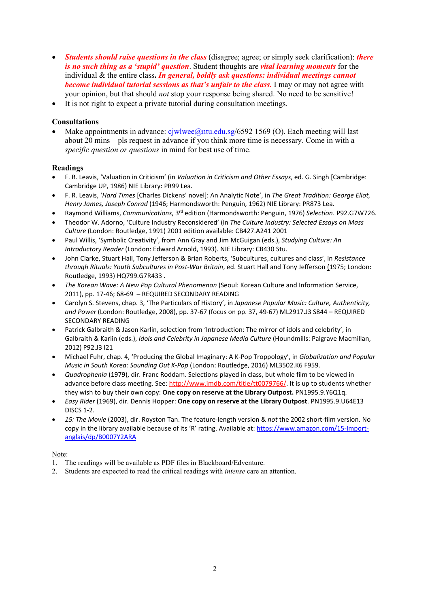- *Students should raise questions in the class* (disagree; agree; or simply seek clarification): *there is no such thing as a 'stupid' question*. Student thoughts are *vital learning moments* for the individual & the entire class**.** *In general, boldly ask questions: individual meetings cannot become individual tutorial sessions as that's unfair to the class.* I may or may not agree with your opinion, but that should *not* stop your response being shared. No need to be sensitive!
- It is not right to expect a private tutorial during consultation meetings.

#### **Consultations**

Make appointments in advance:  $c_j$ wlwee@ntu.edu.sg/6592 1569 (O). Each meeting will last about 20 mins – pls request in advance if you think more time is necessary. Come in with a *specific question or questions* in mind for best use of time.

#### **Readings**

- F. R. Leavis, 'Valuation in Criticism' (in *Valuation in Criticism and Other Essays*, ed. G. Singh [Cambridge: Cambridge UP, 1986) NIE Library: PR99 Lea.
- F. R. Leavis, '*Hard Times* [Charles Dickens' novel]: An Analytic Note', in *The Great Tradition: George Eliot, Henry James, Joseph Conrad* (1946; Harmondsworth: Penguin, 1962) NIE Library: PR873 Lea.
- Raymond Williams, *Communications*, 3rd edition (Harmondsworth: Penguin, 1976) *Selection*. P92.G7W726.
- Theodor W. Adorno, 'Culture Industry Reconsidered' (in *The Culture Industry: Selected Essays on Mass Culture* (London: Routledge, 1991) 2001 edition available: CB427.A241 2001
- Paul Willis, 'Symbolic Creativity', from Ann Gray and Jim McGuigan (eds.), *Studying Culture: An Introductory Reader* (London: Edward Arnold, 1993). NIE Library: CB430 Stu.
- John Clarke, Stuart Hall, Tony Jefferson & Brian Roberts, 'Subcultures, cultures and class', in *Resistance through Rituals: Youth Subcultures in Post-War Britain*, ed. Stuart Hall and Tony Jefferson (1975; London: Routledge, 1993) HQ799.G7R433 .
- *The Korean Wave: A New Pop Cultural Phenomenon* (Seoul: Korean Culture and Information Service, 2011), pp. 17-46; 68-69 – REQUIRED SECONDARY READING
- Carolyn S. Stevens, chap. 3, 'The Particulars of History', in *Japanese Popular Music: Culture, Authenticity, and Power* (London: Routledge, 2008), pp. 37-67 (focus on pp. 37, 49-67) ML2917.J3 S844 – REQUIRED SECONDARY READING
- Patrick Galbraith & Jason Karlin, selection from 'Introduction: The mirror of idols and celebrity', in Galbraith & Karlin (eds.), *Idols and Celebrity in Japanese Media Culture* (Houndmills: Palgrave Macmillan, 2012) P92.J3 I21
- Michael Fuhr, chap. 4, 'Producing the Global Imaginary: A K-Pop Troppology', in *Globalization and Popular Music in South Korea: Sounding Out K-Pop* (London: Routledge, 2016) ML3502.K6 F959.
- *Quadrophenia* (1979), dir. Franc Roddam. Selections played in class, but whole film to be viewed in advance before class meeting. See[: http://www.imdb.com/title/tt0079766/.](http://www.imdb.com/title/tt0079766/) It is up to students whether they wish to buy their own copy: **One copy on reserve at the Library Outpost.** PN1995.9.Y6Q1q.
- *Easy Rider* (1969), dir. Dennis Hopper: **One copy on reserve at the Library Outpost**. PN1995.9.U64E13 DISCS 1-2.
- *15: The Movie* (2003), dir. Royston Tan. The feature-length version & *not* the 2002 short-film version. No copy in the library available because of its 'R' rating. Available at[: https://www.amazon.com/15-Import](https://www.amazon.com/15-Import-anglais/dp/B0007Y2ARA)[anglais/dp/B0007Y2ARA](https://www.amazon.com/15-Import-anglais/dp/B0007Y2ARA)

#### Note:

- 1. The readings will be available as PDF files in Blackboard/Edventure.
- 2. Students are expected to read the critical readings with *intense* care an attention.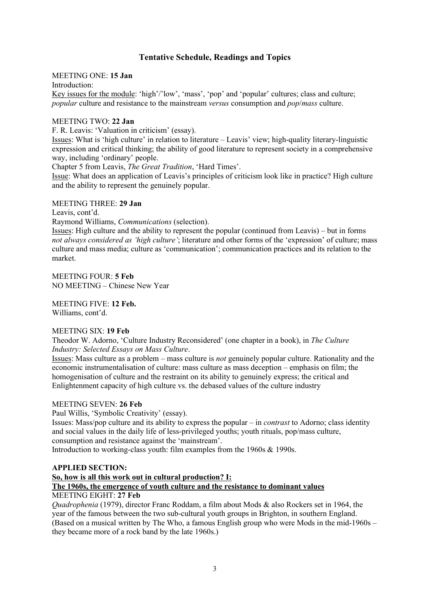## **Tentative Schedule, Readings and Topics**

#### MEETING ONE: **15 Jan**

#### Introduction:

Key issues for the module: 'high'/'low', 'mass', 'pop' and 'popular' cultures; class and culture; *popular* culture and resistance to the mainstream *versus* consumption and *pop*/*mass* culture.

#### MEETING TWO: **22 Jan**

F. R. Leavis: 'Valuation in criticism' (essay).

Issues: What is 'high culture' in relation to literature – Leavis' view; high-quality literary-linguistic expression and critical thinking; the ability of good literature to represent society in a comprehensive way, including 'ordinary' people.

Chapter 5 from Leavis, *The Great Tradition*, 'Hard Times'.

Issue: What does an application of Leavis's principles of criticism look like in practice? High culture and the ability to represent the genuinely popular.

#### MEETING THREE: **29 Jan**

Leavis, cont'd.

Raymond Williams, *Communications* (selection).

Issues: High culture and the ability to represent the popular (continued from Leavis) – but in forms *not always considered as 'high culture'*; literature and other forms of the 'expression' of culture; mass culture and mass media; culture as 'communication'; communication practices and its relation to the market.

MEETING FOUR: **5 Feb** NO MEETING – Chinese New Year

MEETING FIVE: **12 Feb.**

Williams, cont'd.

#### MEETING SIX: **19 Feb**

Theodor W. Adorno, 'Culture Industry Reconsidered' (one chapter in a book), in *The Culture Industry: Selected Essays on Mass Culture*.

Issues: Mass culture as a problem – mass culture is *not* genuinely popular culture. Rationality and the economic instrumentalisation of culture: mass culture as mass deception – emphasis on film; the homogenisation of culture and the restraint on its ability to genuinely express; the critical and Enlightenment capacity of high culture vs. the debased values of the culture industry

#### MEETING SEVEN: **26 Feb**

Paul Willis, 'Symbolic Creativity' (essay).

Issues: Mass/pop culture and its ability to express the popular – in *contrast* to Adorno; class identity and social values in the daily life of less-privileged youths; youth rituals, pop/mass culture, consumption and resistance against the 'mainstream'.

Introduction to working-class youth: film examples from the 1960s & 1990s.

#### **APPLIED SECTION:**

#### **So, how is all this work out in cultural production? I: The 1960s, the emergence of youth culture and the resistance to dominant values** MEETING EIGHT: **27 Feb**

*Quadrophenia* (1979), director Franc Roddam, a film about Mods & also Rockers set in 1964, the year of the famous between the two sub-cultural youth groups in Brighton, in southern England. (Based on a musical written by The Who, a famous English group who were Mods in the mid-1960s – they became more of a rock band by the late 1960s.)